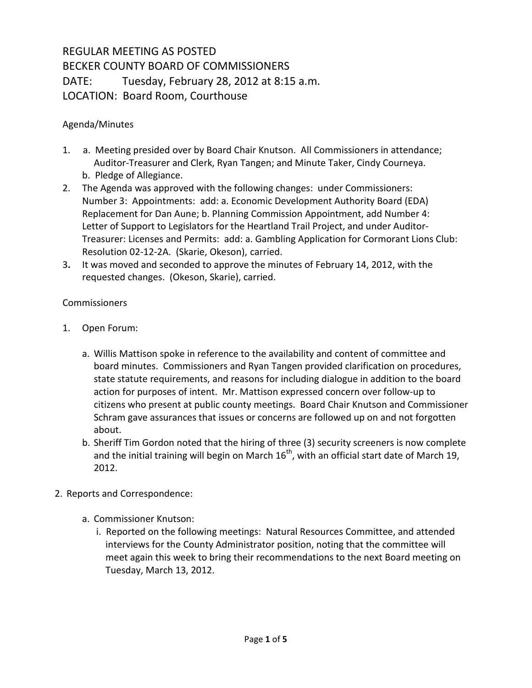## REGULAR MEETING AS POSTED BECKER COUNTY BOARD OF COMMISSIONERS DATE: Tuesday, February 28, 2012 at 8:15 a.m. LOCATION: Board Room, Courthouse

## Agenda/Minutes

- 1. a. Meeting presided over by Board Chair Knutson. All Commissioners in attendance; Auditor-Treasurer and Clerk, Ryan Tangen; and Minute Taker, Cindy Courneya. b. Pledge of Allegiance.
- 2. The Agenda was approved with the following changes: under Commissioners: Number 3: Appointments: add: a. Economic Development Authority Board (EDA) Replacement for Dan Aune; b. Planning Commission Appointment, add Number 4: Letter of Support to Legislators for the Heartland Trail Project, and under Auditor-Treasurer: Licenses and Permits: add: a. Gambling Application for Cormorant Lions Club: Resolution 02-12-2A. (Skarie, Okeson), carried.
- 3**.** It was moved and seconded to approve the minutes of February 14, 2012, with the requested changes. (Okeson, Skarie), carried.

## Commissioners

- 1. Open Forum:
	- a. Willis Mattison spoke in reference to the availability and content of committee and board minutes. Commissioners and Ryan Tangen provided clarification on procedures, state statute requirements, and reasons for including dialogue in addition to the board action for purposes of intent. Mr. Mattison expressed concern over follow-up to citizens who present at public county meetings. Board Chair Knutson and Commissioner Schram gave assurances that issues or concerns are followed up on and not forgotten about.
	- b. Sheriff Tim Gordon noted that the hiring of three (3) security screeners is now complete and the initial training will begin on March  $16<sup>th</sup>$ , with an official start date of March 19, 2012.
- 2. Reports and Correspondence:
	- a. Commissioner Knutson:
		- i. Reported on the following meetings: Natural Resources Committee, and attended interviews for the County Administrator position, noting that the committee will meet again this week to bring their recommendations to the next Board meeting on Tuesday, March 13, 2012.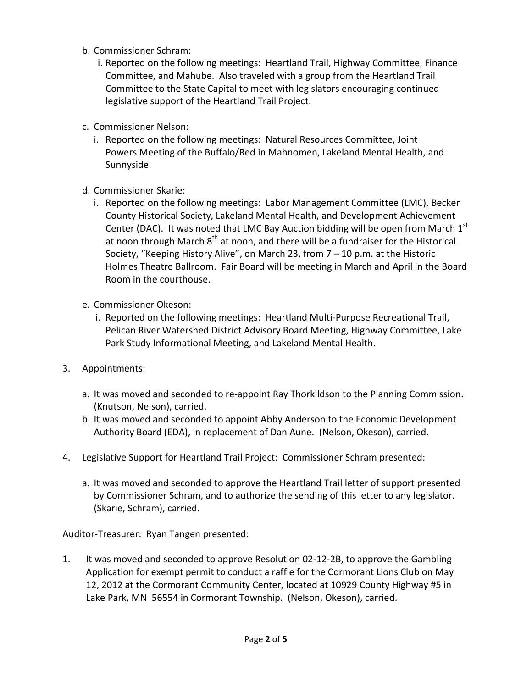- b. Commissioner Schram:
	- i. Reported on the following meetings: Heartland Trail, Highway Committee, Finance Committee, and Mahube. Also traveled with a group from the Heartland Trail Committee to the State Capital to meet with legislators encouraging continued legislative support of the Heartland Trail Project.
- c. Commissioner Nelson:
	- i. Reported on the following meetings: Natural Resources Committee, Joint Powers Meeting of the Buffalo/Red in Mahnomen, Lakeland Mental Health, and Sunnyside.
- d. Commissioner Skarie:
	- i. Reported on the following meetings: Labor Management Committee (LMC), Becker County Historical Society, Lakeland Mental Health, and Development Achievement Center (DAC). It was noted that LMC Bay Auction bidding will be open from March  $1<sup>st</sup>$ at noon through March  $8<sup>th</sup>$  at noon, and there will be a fundraiser for the Historical Society, "Keeping History Alive", on March 23, from 7 – 10 p.m. at the Historic Holmes Theatre Ballroom. Fair Board will be meeting in March and April in the Board Room in the courthouse.
- e. Commissioner Okeson:
	- i. Reported on the following meetings: Heartland Multi-Purpose Recreational Trail, Pelican River Watershed District Advisory Board Meeting, Highway Committee, Lake Park Study Informational Meeting, and Lakeland Mental Health.
- 3. Appointments:
	- a. It was moved and seconded to re-appoint Ray Thorkildson to the Planning Commission. (Knutson, Nelson), carried.
	- b. It was moved and seconded to appoint Abby Anderson to the Economic Development Authority Board (EDA), in replacement of Dan Aune. (Nelson, Okeson), carried.
- 4. Legislative Support for Heartland Trail Project: Commissioner Schram presented:
	- a. It was moved and seconded to approve the Heartland Trail letter of support presented by Commissioner Schram, and to authorize the sending of this letter to any legislator. (Skarie, Schram), carried.

Auditor-Treasurer: Ryan Tangen presented:

1. It was moved and seconded to approve Resolution 02-12-2B, to approve the Gambling Application for exempt permit to conduct a raffle for the Cormorant Lions Club on May 12, 2012 at the Cormorant Community Center, located at 10929 County Highway #5 in Lake Park, MN 56554 in Cormorant Township. (Nelson, Okeson), carried.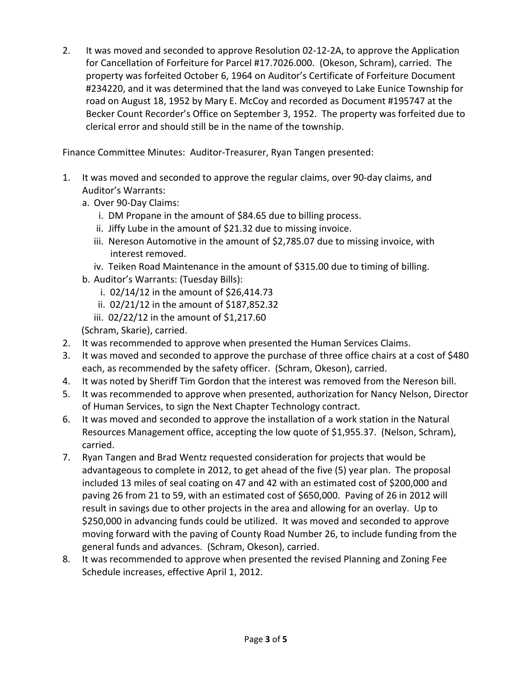2. It was moved and seconded to approve Resolution 02-12-2A, to approve the Application for Cancellation of Forfeiture for Parcel #17.7026.000. (Okeson, Schram), carried. The property was forfeited October 6, 1964 on Auditor's Certificate of Forfeiture Document #234220, and it was determined that the land was conveyed to Lake Eunice Township for road on August 18, 1952 by Mary E. McCoy and recorded as Document #195747 at the Becker Count Recorder's Office on September 3, 1952. The property was forfeited due to clerical error and should still be in the name of the township.

Finance Committee Minutes: Auditor-Treasurer, Ryan Tangen presented:

- 1. It was moved and seconded to approve the regular claims, over 90-day claims, and Auditor's Warrants:
	- a. Over 90-Day Claims:
		- i. DM Propane in the amount of \$84.65 due to billing process.
		- ii. Jiffy Lube in the amount of \$21.32 due to missing invoice.
		- iii. Nereson Automotive in the amount of \$2,785.07 due to missing invoice, with interest removed.
		- iv. Teiken Road Maintenance in the amount of \$315.00 due to timing of billing.
	- b. Auditor's Warrants: (Tuesday Bills):
		- i. 02/14/12 in the amount of \$26,414.73
		- ii. 02/21/12 in the amount of \$187,852.32
		- iii. 02/22/12 in the amount of \$1,217.60
	- (Schram, Skarie), carried.
- 2. It was recommended to approve when presented the Human Services Claims.
- 3. It was moved and seconded to approve the purchase of three office chairs at a cost of \$480 each, as recommended by the safety officer. (Schram, Okeson), carried.
- 4. It was noted by Sheriff Tim Gordon that the interest was removed from the Nereson bill.
- 5. It was recommended to approve when presented, authorization for Nancy Nelson, Director of Human Services, to sign the Next Chapter Technology contract.
- 6. It was moved and seconded to approve the installation of a work station in the Natural Resources Management office, accepting the low quote of \$1,955.37. (Nelson, Schram), carried.
- 7. Ryan Tangen and Brad Wentz requested consideration for projects that would be advantageous to complete in 2012, to get ahead of the five (5) year plan. The proposal included 13 miles of seal coating on 47 and 42 with an estimated cost of \$200,000 and paving 26 from 21 to 59, with an estimated cost of \$650,000. Paving of 26 in 2012 will result in savings due to other projects in the area and allowing for an overlay. Up to \$250,000 in advancing funds could be utilized. It was moved and seconded to approve moving forward with the paving of County Road Number 26, to include funding from the general funds and advances.(Schram, Okeson), carried.
- 8. It was recommended to approve when presented the revised Planning and Zoning Fee Schedule increases, effective April 1, 2012.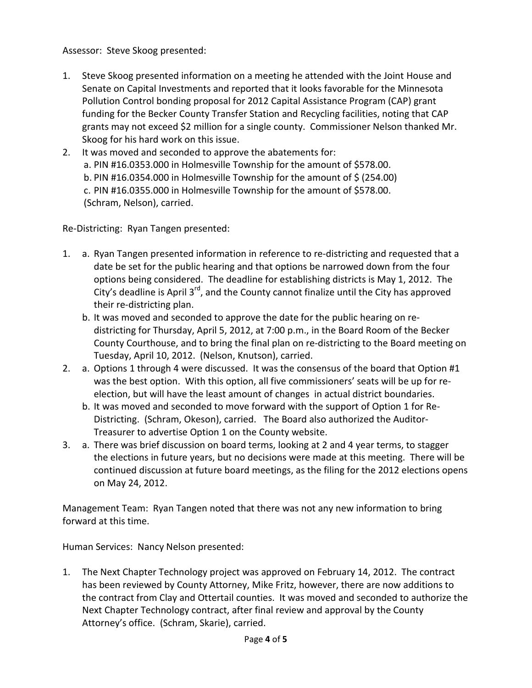## Assessor: Steve Skoog presented:

- 1. Steve Skoog presented information on a meeting he attended with the Joint House and Senate on Capital Investments and reported that it looks favorable for the Minnesota Pollution Control bonding proposal for 2012 Capital Assistance Program (CAP) grant funding for the Becker County Transfer Station and Recycling facilities, noting that CAP grants may not exceed \$2 million for a single county. Commissioner Nelson thanked Mr. Skoog for his hard work on this issue.
- 2. It was moved and seconded to approve the abatements for: a. PIN #16.0353.000 in Holmesville Township for the amount of \$578.00. b. PIN #16.0354.000 in Holmesville Township for the amount of \$ (254.00) c. PIN #16.0355.000 in Holmesville Township for the amount of \$578.00. (Schram, Nelson), carried.

Re-Districting: Ryan Tangen presented:

- 1. a. Ryan Tangen presented information in reference to re-districting and requested that a date be set for the public hearing and that options be narrowed down from the four options being considered. The deadline for establishing districts is May 1, 2012. The City's deadline is April  $3^{rd}$ , and the County cannot finalize until the City has approved their re-districting plan.
	- b. It was moved and seconded to approve the date for the public hearing on redistricting for Thursday, April 5, 2012, at 7:00 p.m., in the Board Room of the Becker County Courthouse, and to bring the final plan on re-districting to the Board meeting on Tuesday, April 10, 2012. (Nelson, Knutson), carried.
- 2. a. Options 1 through 4 were discussed. It was the consensus of the board that Option #1 was the best option. With this option, all five commissioners' seats will be up for reelection, but will have the least amount of changes in actual district boundaries.
	- b. It was moved and seconded to move forward with the support of Option 1 for Re-Districting. (Schram, Okeson), carried. The Board also authorized the Auditor-Treasurer to advertise Option 1 on the County website.
- 3. a. There was brief discussion on board terms, looking at 2 and 4 year terms, to stagger the elections in future years, but no decisions were made at this meeting. There will be continued discussion at future board meetings, as the filing for the 2012 elections opens on May 24, 2012.

Management Team: Ryan Tangen noted that there was not any new information to bring forward at this time.

Human Services: Nancy Nelson presented:

1. The Next Chapter Technology project was approved on February 14, 2012. The contract has been reviewed by County Attorney, Mike Fritz, however, there are now additions to the contract from Clay and Ottertail counties. It was moved and seconded to authorize the Next Chapter Technology contract, after final review and approval by the County Attorney's office. (Schram, Skarie), carried.